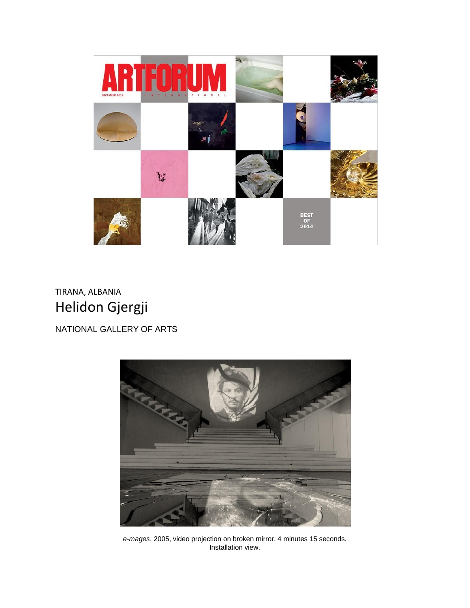

## TIRANA, ALBANIA Helidon Gjergji

NATIONAL GALLERY OF ARTS



*e-mages*, 2005, video projection on broken mirror, 4 minutes 15 seconds. Installation view.